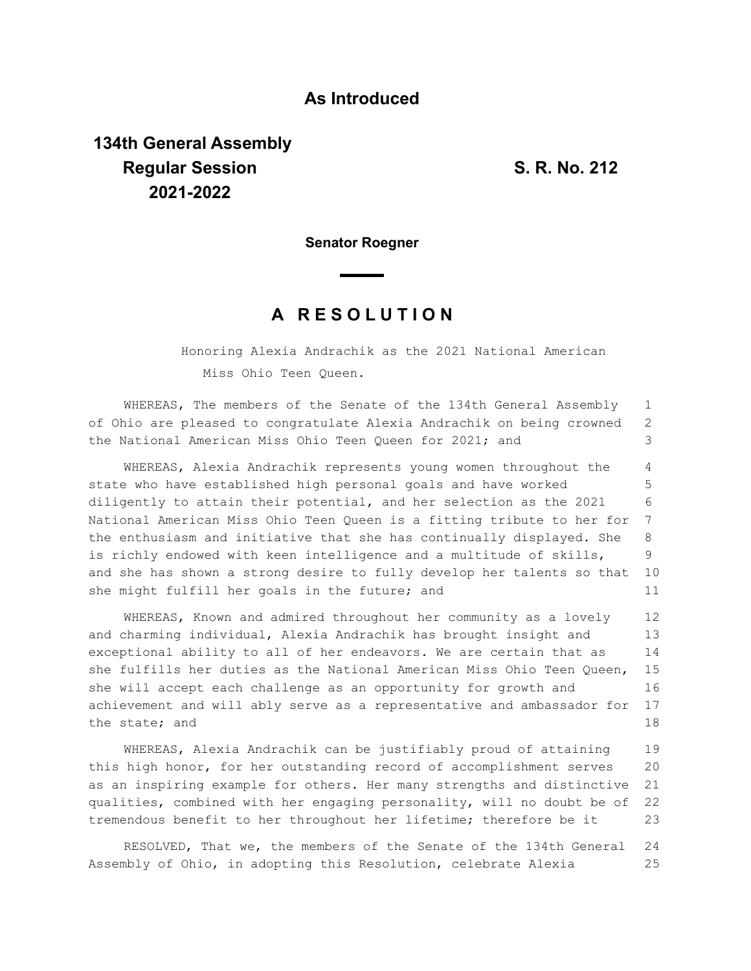## **As Introduced**

## **134th General Assembly Regular Session S. R. No. 212 2021-2022**

**Senator Roegner**

## **A R E S O L U T I O N**

Honoring Alexia Andrachik as the 2021 National American Miss Ohio Teen Queen.

WHEREAS, The members of the Senate of the 134th General Assembly of Ohio are pleased to congratulate Alexia Andrachik on being crowned the National American Miss Ohio Teen Queen for 2021; and 1 2 3

WHEREAS, Alexia Andrachik represents young women throughout the state who have established high personal goals and have worked diligently to attain their potential, and her selection as the 2021 National American Miss Ohio Teen Queen is a fitting tribute to her for the enthusiasm and initiative that she has continually displayed. She is richly endowed with keen intelligence and a multitude of skills, and she has shown a strong desire to fully develop her talents so that she might fulfill her goals in the future; and 4 5 6 7 8 9 10 11

WHEREAS, Known and admired throughout her community as a lovely and charming individual, Alexia Andrachik has brought insight and exceptional ability to all of her endeavors. We are certain that as she fulfills her duties as the National American Miss Ohio Teen Queen, she will accept each challenge as an opportunity for growth and achievement and will ably serve as a representative and ambassador for the state; and 12 13 14 15 16 17 18

WHEREAS, Alexia Andrachik can be justifiably proud of attaining this high honor, for her outstanding record of accomplishment serves as an inspiring example for others. Her many strengths and distinctive qualities, combined with her engaging personality, will no doubt be of tremendous benefit to her throughout her lifetime; therefore be it 19 20 21 22 23

RESOLVED, That we, the members of the Senate of the 134th General Assembly of Ohio, in adopting this Resolution, celebrate Alexia 24 25